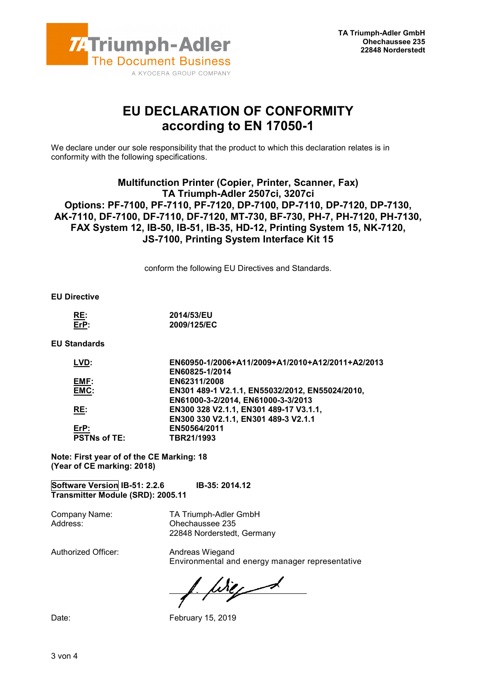

## EU DECLARATION OF CONFORMITY according to EN 17050-1

We declare under our sole responsibility that the product to which this declaration relates is in conformity with the following specifications.

## Multifunction Printer (Copier, Printer, Scanner, Fax) TA Triumph-Adler 2507ci, 3207ci Options: PF-7100, PF-7110, PF-7120, DP-7100, DP-7110, DP-7120, DP-7130, AK-7110, DF-7100, DF-7110, DF-7120, MT-730, BF-730, PH-7, PH-7120, PH-7130, FAX System 12, IB-50, IB-51, IB-35, HD-12, Printing System 15, NK-7120, JS-7100, Printing System Interface Kit 15

conform the following EU Directives and Standards.

EU Directive

| RE:         | 2014/53/EU  |
|-------------|-------------|
| $E$ r $P$ : | 2009/125/EC |

EU Standards

| EN60950-1/2006+A11/2009+A1/2010+A12/2011+A2/2013 |
|--------------------------------------------------|
| EN60825-1/2014                                   |
| EN62311/2008                                     |
| EN301 489-1 V2.1.1, EN55032/2012, EN55024/2010,  |
| EN61000-3-2/2014, EN61000-3-3/2013               |
| EN300 328 V2.1.1, EN301 489-17 V3.1.1,           |
| EN300 330 V2.1.1, EN301 489-3 V2.1.1             |
| EN50564/2011                                     |
| TBR21/1993                                       |
|                                                  |

Note: First year of of the CE Marking: 18 (Year of CE marking: 2018)

Software Version IB-51: 2.2.6 IB-35: 2014.12 Transmitter Module (SRD): 2005.11

Company Name: TA Triumph-Adler GmbH Address: Ohechaussee 235 22848 Norderstedt, Germany

Authorized Officer: Andreas Wiegand

Environmental and energy manager representative

Wig 1

Date: February 15, 2019